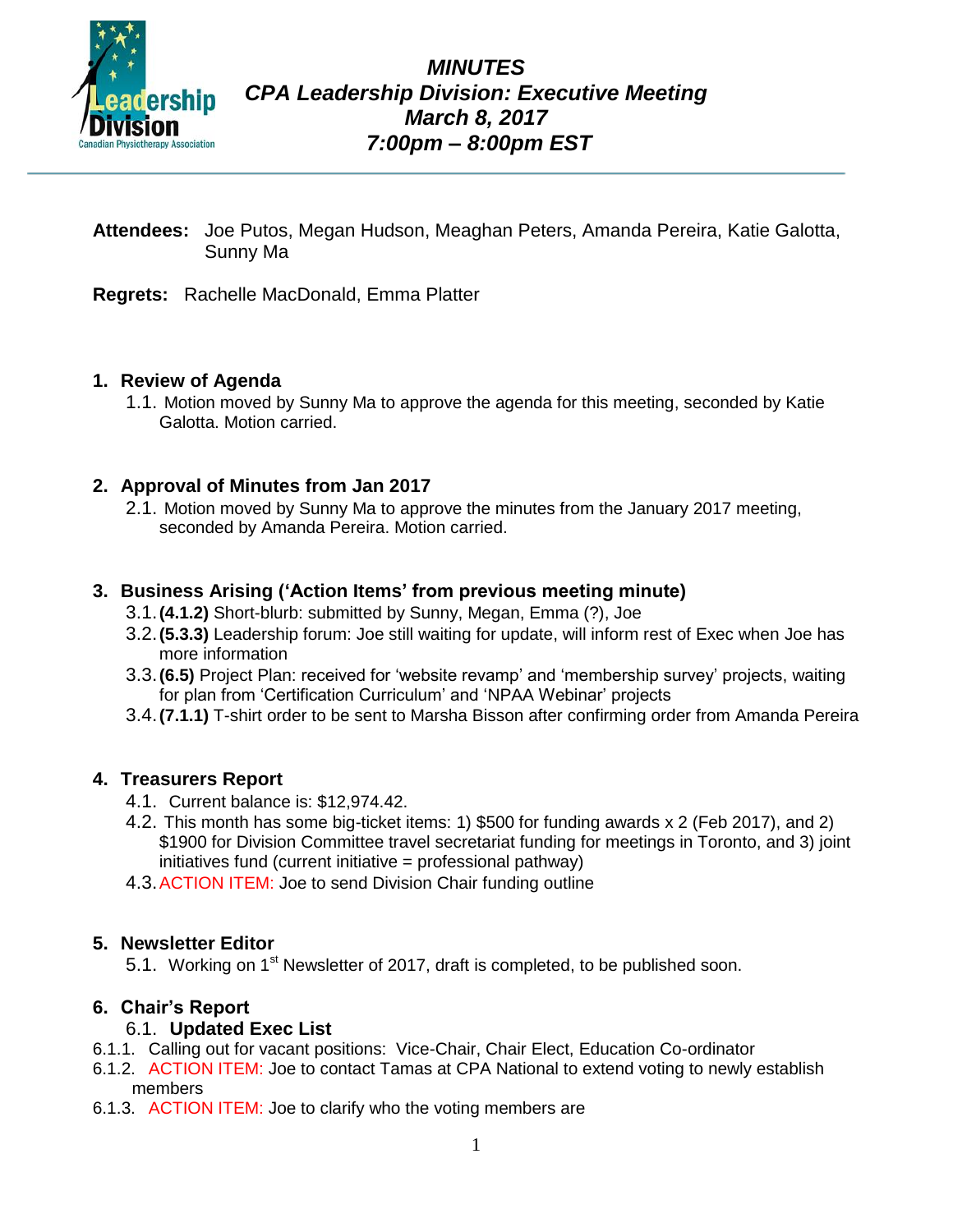

- **Attendees:** Joe Putos, Megan Hudson, Meaghan Peters, Amanda Pereira, Katie Galotta, Sunny Ma
- **Regrets:** Rachelle MacDonald, Emma Platter

## **1. Review of Agenda**

1.1. Motion moved by Sunny Ma to approve the agenda for this meeting, seconded by Katie Galotta. Motion carried.

## **2. Approval of Minutes from Jan 2017**

2.1. Motion moved by Sunny Ma to approve the minutes from the January 2017 meeting, seconded by Amanda Pereira. Motion carried.

## **3. Business Arising ('Action Items' from previous meeting minute)**

- 3.1.**(4.1.2)** Short-blurb: submitted by Sunny, Megan, Emma (?), Joe
- 3.2.**(5.3.3)** Leadership forum: Joe still waiting for update, will inform rest of Exec when Joe has more information
- 3.3.**(6.5)** Project Plan: received for 'website revamp' and 'membership survey' projects, waiting for plan from 'Certification Curriculum' and 'NPAA Webinar' projects
- 3.4.**(7.1.1)** T-shirt order to be sent to Marsha Bisson after confirming order from Amanda Pereira

## **4. Treasurers Report**

- 4.1. Current balance is: \$12,974.42.
- 4.2. This month has some big-ticket items: 1) \$500 for funding awards x 2 (Feb 2017), and 2) \$1900 for Division Committee travel secretariat funding for meetings in Toronto, and 3) joint initiatives fund (current initiative = professional pathway)
- 4.3.ACTION ITEM: Joe to send Division Chair funding outline

## **5. Newsletter Editor**

5.1. Working on 1<sup>st</sup> Newsletter of 2017, draft is completed, to be published soon.

# **6. Chair's Report**

## 6.1. **Updated Exec List**

- 6.1.1. Calling out for vacant positions: Vice-Chair, Chair Elect, Education Co-ordinator
- 6.1.2. ACTION ITEM: Joe to contact Tamas at CPA National to extend voting to newly establish members
- 6.1.3. ACTION ITEM: Joe to clarify who the voting members are